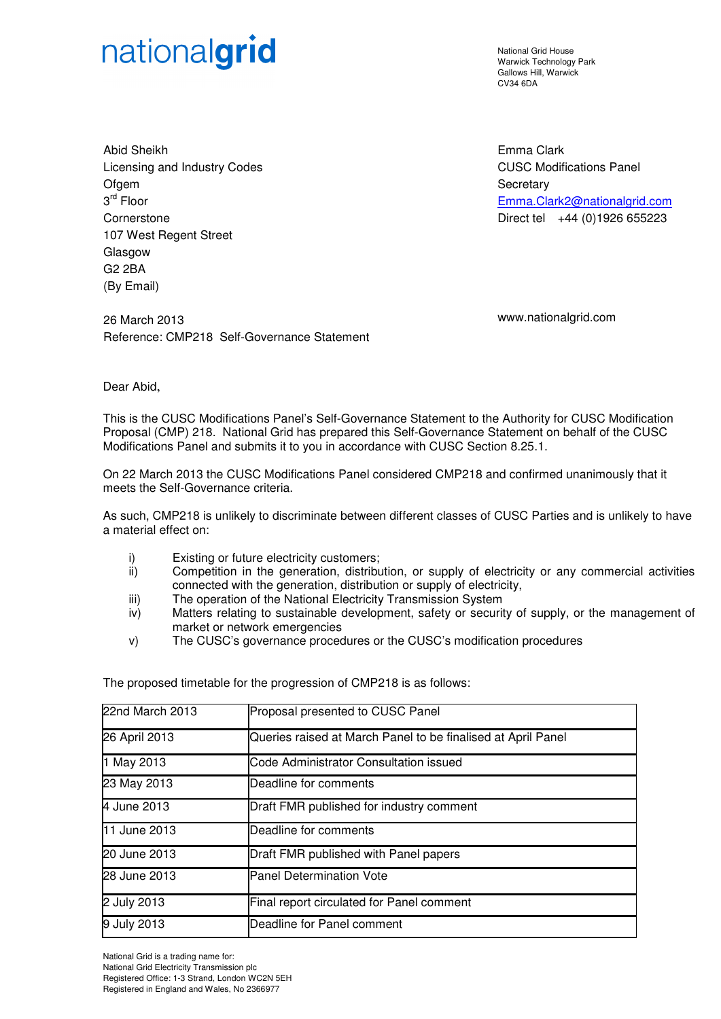## nationalgrid

National Grid House Warwick Technology Park Gallows Hill, Warwick CV34 6DA

Emma Clark

**Secretary** 

Abid Sheikh Licensing and Industry Codes **Ofgem** 3 rd Floor **Cornerstone** 107 West Regent Street Glasgow G2 2BA (By Email)

26 March 2013 www.nationalgrid.com Reference: CMP218 Self-Governance Statement

CUSC Modifications Panel

Emma.Clark2@nationalgrid.com Direct tel +44 (0)1926 655223

Dear Abid,

This is the CUSC Modifications Panel's Self-Governance Statement to the Authority for CUSC Modification Proposal (CMP) 218. National Grid has prepared this Self-Governance Statement on behalf of the CUSC Modifications Panel and submits it to you in accordance with CUSC Section 8.25.1.

On 22 March 2013 the CUSC Modifications Panel considered CMP218 and confirmed unanimously that it meets the Self-Governance criteria.

As such, CMP218 is unlikely to discriminate between different classes of CUSC Parties and is unlikely to have a material effect on:

- i) Existing or future electricity customers;<br>ii) Competition in the generation. distribu
- Competition in the generation, distribution, or supply of electricity or any commercial activities connected with the generation, distribution or supply of electricity,
- iii) The operation of the National Electricity Transmission System
- iv) Matters relating to sustainable development, safety or security of supply, or the management of market or network emergencies
- v) The CUSC's governance procedures or the CUSC's modification procedures

The proposed timetable for the progression of CMP218 is as follows:

| 22nd March 2013     | Proposal presented to CUSC Panel                             |
|---------------------|--------------------------------------------------------------|
| 26 April 2013       | Queries raised at March Panel to be finalised at April Panel |
| 1 May 2013          | Code Administrator Consultation issued                       |
| 23 May 2013         | Deadline for comments                                        |
| 4 June 2013         | Draft FMR published for industry comment                     |
| <b>11 June 2013</b> | Deadline for comments                                        |
| 20 June 2013        | Draft FMR published with Panel papers                        |
| 28 June 2013        | <b>Panel Determination Vote</b>                              |
| 2 July 2013         | Final report circulated for Panel comment                    |
| 9 July 2013         | Deadline for Panel comment                                   |

National Grid is a trading name for: National Grid Electricity Transmission plc Registered Office: 1-3 Strand, London WC2N 5EH Registered in England and Wales, No 2366977